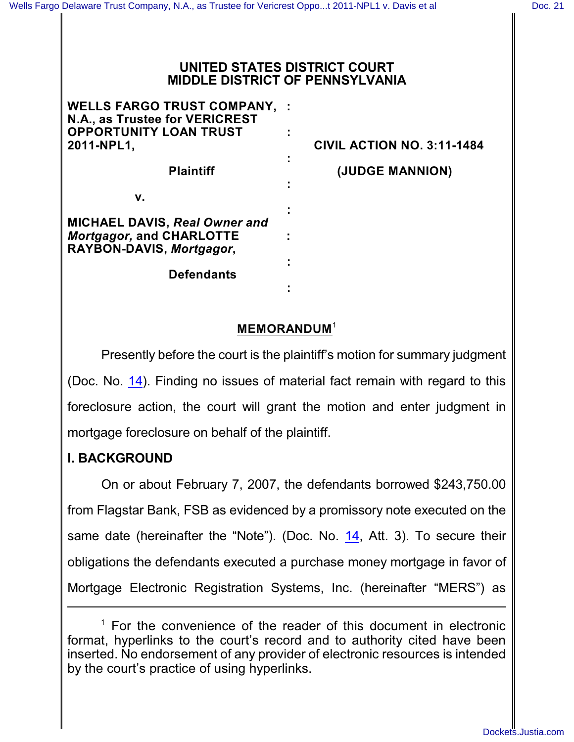### **UNITED STATES DISTRICT COURT MIDDLE DISTRICT OF PENNSYLVANIA**

| <b>WELLS FARGO TRUST COMPANY,</b><br>N.A., as Trustee for VERICREST     |                                   |
|-------------------------------------------------------------------------|-----------------------------------|
| <b>OPPORTUNITY LOAN TRUST</b><br>2011-NPL1,                             | <b>CIVIL ACTION NO. 3:11-1484</b> |
| <b>Plaintiff</b>                                                        | (JUDGE MANNION)                   |
| v.                                                                      |                                   |
| <b>MICHAEL DAVIS, Real Owner and</b><br><b>Mortgagor, and CHARLOTTE</b> |                                   |
| RAYBON-DAVIS, Mortgagor,                                                |                                   |
| <b>Defendants</b>                                                       |                                   |
|                                                                         |                                   |

# **MEMORANDUM** 1

Presently before the court is the plaintiff's motion for summary judgment (Doc. No. [14](http://ecf.pamd.uscourts.gov/doc1/15503839033)). Finding no issues of material fact remain with regard to this foreclosure action, the court will grant the motion and enter judgment in mortgage foreclosure on behalf of the plaintiff.

# **I. BACKGROUND**

On or about February 7, 2007, the defendants borrowed \$243,750.00 from Flagstar Bank, FSB as evidenced by a promissory note executed on the same date (hereinafter the "Note"). (Doc. No. [14](http://ecf.pamd.uscourts.gov/doc1/15503839033), Att. 3). To secure their obligations the defendants executed a purchase money mortgage in favor of Mortgage Electronic Registration Systems, Inc. (hereinafter "MERS") as

 $<sup>1</sup>$  For the convenience of the reader of this document in electronic</sup> format, hyperlinks to the court's record and to authority cited have been inserted. No endorsement of any provider of electronic resources is intended by the court's practice of using hyperlinks.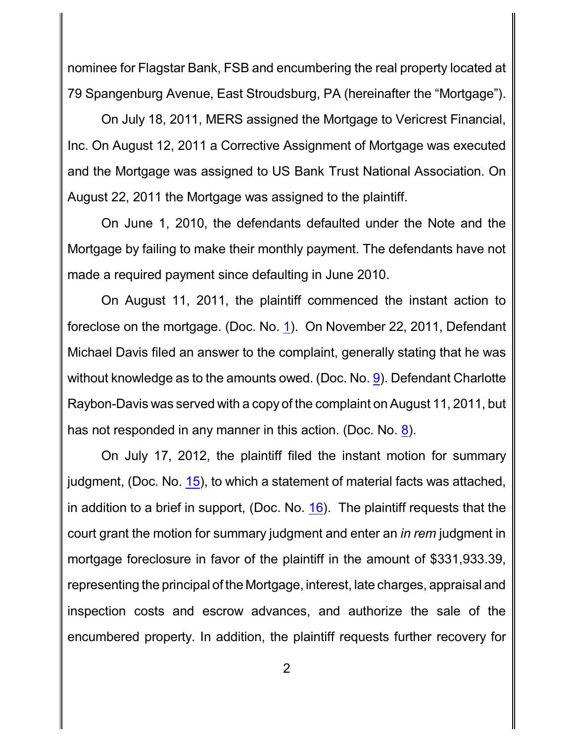nominee for Flagstar Bank, FSB and encumbering the real property located at 79 Spangenburg Avenue, East Stroudsburg, PA (hereinafter the "Mortgage").

On July 18, 2011, MERS assigned the Mortgage to Vericrest Financial, Inc. On August 12, 2011 a Corrective Assignment of Mortgage was executed and the Mortgage was assigned to US Bank Trust National Association. On August 22, 2011 the Mortgage was assigned to the plaintiff.

On June 1, 2010, the defendants defaulted under the Note and the Mortgage by failing to make their monthly payment. The defendants have not made a required payment since defaulting in June 2010.

On August 11, 2011, the plaintiff commenced the instant action to foreclose on the mortgage. (Doc. No. [1](http://ecf.pamd.uscourts.gov/doc1/15503444903)). On November 22, 2011, Defendant Michael Davis filed an answer to the complaint, generally stating that he was without knowledge as to the amounts owed. (Doc. No. [9](http://ecf.pamd.uscourts.gov/doc1/15503564595)). Defendant Charlotte Raybon-Davis was served with a copy of the complaint on August 11, 2011, but has not responded in any manner in this action. (Doc. No. [8](http://ecf.pamd.uscourts.gov/doc1/15503564234)).

On July 17, 2012, the plaintiff filed the instant motion for summary judgment, (Doc. No. [15](http://ecf.pamd.uscourts.gov/doc1/15503839049)), to which a statement of material facts was attached, in addition to a brief in support, (Doc. No. [16](http://ecf.pamd.uscourts.gov/doc1/15503870062)). The plaintiff requests that the court grant the motion for summary judgment and enter an *in rem* judgment in mortgage foreclosure in favor of the plaintiff in the amount of \$331,933.39, representing the principal of the Mortgage, interest, late charges, appraisal and inspection costs and escrow advances, and authorize the sale of the encumbered property. In addition, the plaintiff requests further recovery for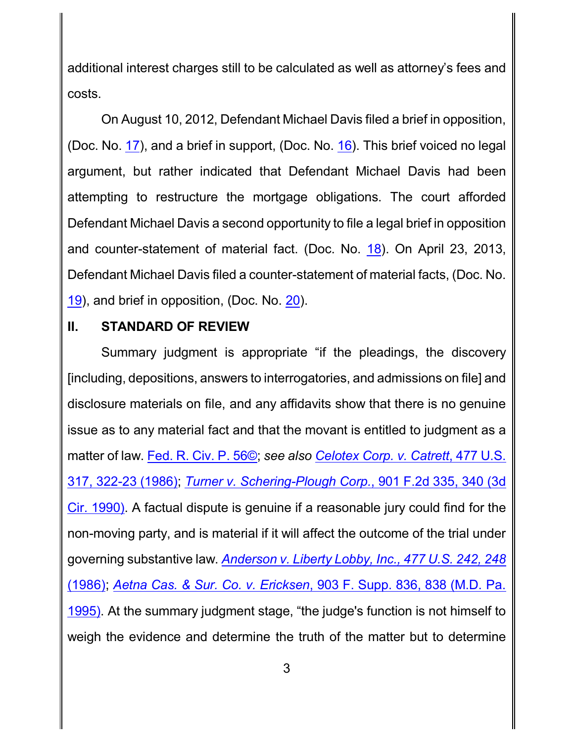additional interest charges still to be calculated as well as attorney's fees and costs.

On August 10, 2012, Defendant Michael Davis filed a brief in opposition, (Doc. No. [17](http://ecf.pamd.uscourts.gov/doc1/15503870070)), and a brief in support, (Doc. No. [16](http://ecf.pamd.uscourts.gov/doc1/15503870062)). This brief voiced no legal argument, but rather indicated that Defendant Michael Davis had been attempting to restructure the mortgage obligations. The court afforded Defendant Michael Davis a second opportunity to file a legal brief in opposition and counter-statement of material fact. (Doc. No. [18](http://ecf.pamd.uscourts.gov/doc1/15504153526)). On April 23, 2013, Defendant Michael Davis filed a counter-statement of material facts, (Doc. No. [19](http://ecf.pamd.uscourts.gov/doc1/15504170782)), and brief in opposition, (Doc. No. [20](http://ecf.pamd.uscourts.gov/doc1/15504170788)).

# **II. STANDARD OF REVIEW**

Summary judgment is appropriate "if the pleadings, the discovery [including, depositions, answers to interrogatories, and admissions on file] and disclosure materials on file, and any affidavits show that there is no genuine issue as to any material fact and that the movant is entitled to judgment as a matter of law. [Fed. R. Civ. P.](http://westlaw.com/find/default.wl?ft=L&docname=USFRCPR56&rs=btil2.0&rp=%2ffind%2fdefault.wl&fn=_top&findtype=L&vr=2.0&db=1000600&wbtoolsId=USFRCPR56&HistoryType=F) 56©; *see also [Celotex Corp.](http://westlaw.com/find/default.wl?ft=Y&referencepositiontype=S&rs=btil2.0&rp=%2ffind%2fdefault.wl&serialnum=1986132677&fn=_top&referenceposition=322&findtype=Y&vr=2.0&db=0000780&wbtoolsId=1986132677&HistoryType=F) v. Catrett*, 477 U.S. [317, 322-23 \(1986\)](http://westlaw.com/find/default.wl?ft=Y&referencepositiontype=S&rs=btil2.0&rp=%2ffind%2fdefault.wl&serialnum=1986132677&fn=_top&referenceposition=322&findtype=Y&vr=2.0&db=0000780&wbtoolsId=1986132677&HistoryType=F); *[Turner v. Schering-Plough Corp.](http://westlaw.com/find/default.wl?ft=Y&referencepositiontype=S&rs=btil2.0&rp=%2ffind%2fdefault.wl&serialnum=1990067742&fn=_top&referenceposition=340&findtype=Y&vr=2.0&db=0000350&wbtoolsId=1990067742&HistoryType=F)*, 901 F.2d 335, 340 (3d Cir. [1990\)](http://westlaw.com/find/default.wl?ft=Y&referencepositiontype=S&rs=btil2.0&rp=%2ffind%2fdefault.wl&serialnum=1990067742&fn=_top&referenceposition=340&findtype=Y&vr=2.0&db=0000350&wbtoolsId=1990067742&HistoryType=F). A factual dispute is genuine if a reasonable jury could find for the non-moving party, and is material if it will affect the outcome of the trial under governing substantive law. *Anderson [v. Liberty Lobby, Inc.,](http://westlaw.com/find/default.wl?ft=Y&referencepositiontype=S&rs=btil2.0&rp=%2ffind%2fdefault.wl&serialnum=1986132674&fn=_top&referenceposition=248&findtype=Y&vr=2.0&db=0000780&wbtoolsId=1986132674&HistoryType=F) 477 U.S. 242, 248* [\(1986\)](http://westlaw.com/find/default.wl?ft=Y&referencepositiontype=S&rs=btil2.0&rp=%2ffind%2fdefault.wl&serialnum=1986132674&fn=_top&referenceposition=248&findtype=Y&vr=2.0&db=0000780&wbtoolsId=1986132674&HistoryType=F); *Aetna Cas. & Sur. Co. v. Ericksen*[, 903 F. Supp. 836,](http://westlaw.com/find/default.wl?ft=Y&referencepositiontype=S&rs=btil2.0&rp=%2ffind%2fdefault.wl&serialnum=1995225725&fn=_top&referenceposition=838&findtype=Y&vr=2.0&db=0000345&wbtoolsId=1995225725&HistoryType=F) 838 (M.D. Pa. [1995\)](http://westlaw.com/find/default.wl?ft=Y&referencepositiontype=S&rs=btil2.0&rp=%2ffind%2fdefault.wl&serialnum=1995225725&fn=_top&referenceposition=838&findtype=Y&vr=2.0&db=0000345&wbtoolsId=1995225725&HistoryType=F). At the summary judgment stage, "the judge's function is not himself to weigh the evidence and determine the truth of the matter but to determine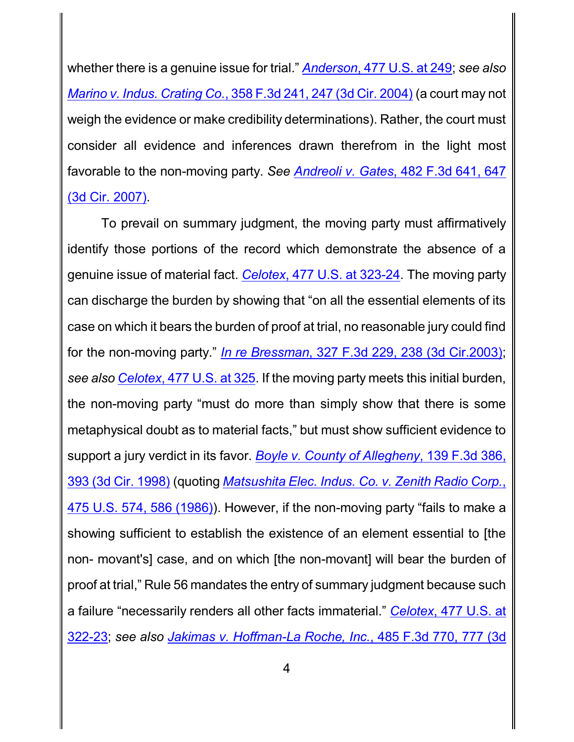whether there is a genuine issue for trial." *Anderson*[, 477 U.S. at](http://westlaw.com/find/default.wl?ft=Y&referencepositiontype=S&rs=btil2.0&rp=%2ffind%2fdefault.wl&serialnum=1986132674&fn=_top&referenceposition=248&findtype=Y&vr=2.0&db=0000780&wbtoolsId=1986132674&HistoryType=F) 249; *see also Marino [v. Indus. Crating Co.](http://westlaw.com/find/default.wl?ft=Y&referencepositiontype=S&rs=btil2.0&rp=%2ffind%2fdefault.wl&serialnum=2004144570&fn=_top&referenceposition=247&findtype=Y&vr=2.0&db=0000506&wbtoolsId=2004144570&HistoryType=F)*, 358 F.3d 241, 247 (3d Cir. 2004) (a court may not weigh the evidence or make credibility determinations). Rather, the court must consider all evidence and inferences drawn therefrom in the light most favorable to the non-moving party. *See Andreoli v. Gates*[, 482 F.3d 641, 647](http://westlaw.com/find/default.wl?ft=Y&referencepositiontype=S&rs=btil2.0&rp=%2ffind%2fdefault.wl&serialnum=2011888780&fn=_top&referenceposition=647&findtype=Y&vr=2.0&db=0000506&wbtoolsId=2011888780&HistoryType=F) [\(3d Cir. 2007\)](http://westlaw.com/find/default.wl?ft=Y&referencepositiontype=S&rs=btil2.0&rp=%2ffind%2fdefault.wl&serialnum=2011888780&fn=_top&referenceposition=647&findtype=Y&vr=2.0&db=0000506&wbtoolsId=2011888780&HistoryType=F).

To prevail on summary judgment, the moving party must affirmatively identify those portions of the record which demonstrate the absence of a genuine issue of material fact. *Celotex*[, 477 U.S. at](http://westlaw.com/find/default.wl?ft=Y&referencepositiontype=S&rs=btil2.0&rp=%2ffind%2fdefault.wl&serialnum=1986132677&fn=_top&referenceposition=322&findtype=Y&vr=2.0&db=0000780&wbtoolsId=1986132677&HistoryType=F) 323-24. The moving party can discharge the burden by showing that "on all the essential elements of its case on which it bears the burden of proof at trial, no reasonable jury could find for the non-moving party." *In re Bressman*, 327 F.3d 229, [238 \(3d Cir.2003\)](http://westlaw.com/find/default.wl?ft=Y&referencepositiontype=S&rs=btil2.0&rp=%2ffind%2fdefault.wl&serialnum=2003314002&fn=_top&referenceposition=238&findtype=Y&vr=2.0&db=0000506&wbtoolsId=2003314002&HistoryType=F); *see also Celotex*[, 477 U.S. at](http://westlaw.com/find/default.wl?ft=Y&referencepositiontype=S&rs=btil2.0&rp=%2ffind%2fdefault.wl&serialnum=1986132677&fn=_top&referenceposition=322&findtype=Y&vr=2.0&db=0000780&wbtoolsId=1986132677&HistoryType=F) 325. If the moving party meets this initial burden, the non-moving party "must do more than simply show that there is some metaphysical doubt as to material facts," but must show sufficient evidence to support a jury verdict in its favor. *Boyle v. County of Allegheny*[, 139 F.3d 386,](http://westlaw.com/find/default.wl?ft=Y&referencepositiontype=S&rs=btil2.0&rp=%2ffind%2fdefault.wl&serialnum=1998075483&fn=_top&referenceposition=393&findtype=Y&vr=2.0&db=0000506&wbtoolsId=1998075483&HistoryType=F) [393 \(3d Cir.](http://westlaw.com/find/default.wl?ft=Y&referencepositiontype=S&rs=btil2.0&rp=%2ffind%2fdefault.wl&serialnum=1998075483&fn=_top&referenceposition=393&findtype=Y&vr=2.0&db=0000506&wbtoolsId=1998075483&HistoryType=F) 1998) (quoting *Matsushita [Elec. Indus. Co.](http://westlaw.com/find/default.wl?ft=Y&referencepositiontype=S&rs=btil2.0&rp=%2ffind%2fdefault.wl&serialnum=1986115992&fn=_top&referenceposition=586&findtype=Y&vr=2.0&db=0000780&wbtoolsId=1986115992&HistoryType=F) v. Zenith Radio Corp.*, [475 U.S. 574, 586 \(1986\)](http://westlaw.com/find/default.wl?ft=Y&referencepositiontype=S&rs=btil2.0&rp=%2ffind%2fdefault.wl&serialnum=1986115992&fn=_top&referenceposition=586&findtype=Y&vr=2.0&db=0000780&wbtoolsId=1986115992&HistoryType=F)). However, if the non-moving party "fails to make a showing sufficient to establish the existence of an element essential to [the non- movant's] case, and on which [the non-movant] will bear the burden of proof at trial," Rule 56 mandates the entry of summary judgment because such a failure "necessarily renders all other facts immaterial." *Celotex*[, 477 U.S. at](http://westlaw.com/find/default.wl?ft=Y&referencepositiontype=S&rs=btil2.0&rp=%2ffind%2fdefault.wl&serialnum=1986132677&fn=_top&referenceposition=322&findtype=Y&vr=2.0&db=0000780&wbtoolsId=1986132677&HistoryType=F) [322-23](http://westlaw.com/find/default.wl?ft=Y&referencepositiontype=S&rs=btil2.0&rp=%2ffind%2fdefault.wl&serialnum=1986132677&fn=_top&referenceposition=322&findtype=Y&vr=2.0&db=0000780&wbtoolsId=1986132677&HistoryType=F); *see also Jakimas [v. Hoffman-La Roche, Inc.](http://westlaw.com/find/default.wl?ft=Y&referencepositiontype=S&rs=btil2.0&rp=%2ffind%2fdefault.wl&serialnum=2012238040&fn=_top&referenceposition=777&findtype=Y&vr=2.0&db=0000506&wbtoolsId=2012238040&HistoryType=F)*, 485 F.3d 770, 777 (3d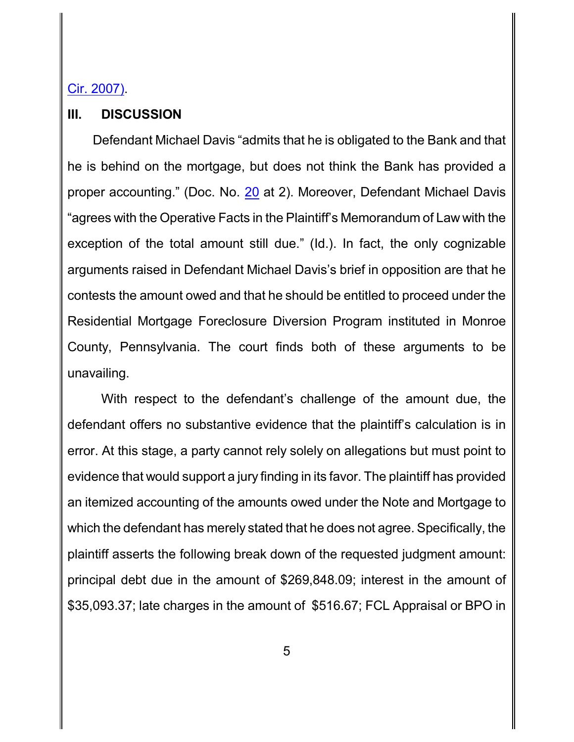### Cir. 2007).

#### **III. DISCUSSION**

Defendant Michael Davis "admits that he is obligated to the Bank and that he is behind on the mortgage, but does not think the Bank has provided a proper accounting." (Doc. No. [20](http://ecf.pamd.uscourts.gov/doc1/15504170788) at 2). Moreover, Defendant Michael Davis "agrees with the Operative Facts in the Plaintiff's Memorandum of Law with the exception of the total amount still due." (Id.). In fact, the only cognizable arguments raised in Defendant Michael Davis's brief in opposition are that he contests the amount owed and that he should be entitled to proceed under the Residential Mortgage Foreclosure Diversion Program instituted in Monroe County, Pennsylvania. The court finds both of these arguments to be unavailing.

With respect to the defendant's challenge of the amount due, the defendant offers no substantive evidence that the plaintiff's calculation is in error. At this stage, a party cannot rely solely on allegations but must point to evidence that would support a jury finding in its favor. The plaintiff has provided an itemized accounting of the amounts owed under the Note and Mortgage to which the defendant has merely stated that he does not agree. Specifically, the plaintiff asserts the following break down of the requested judgment amount: principal debt due in the amount of \$269,848.09; interest in the amount of \$35,093.37; late charges in the amount of \$516.67; FCL Appraisal or BPO in